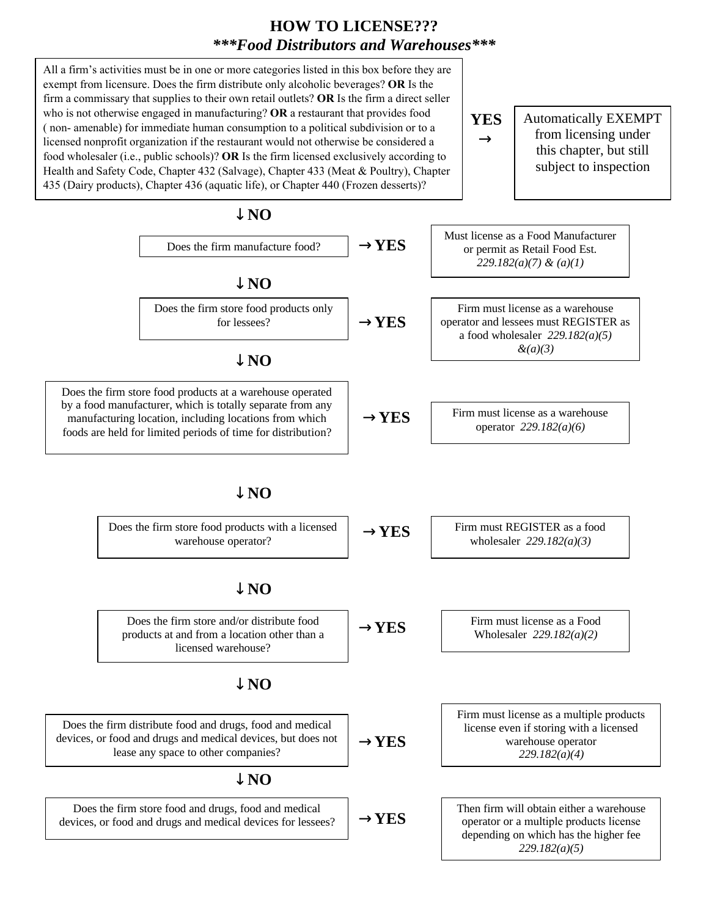## **HOW TO LICENSE???**  *\*\*\*Food Distributors and Warehouses\*\*\**

All a firm's activities must be in one or more categories listed in this box before they are exempt from licensure. Does the firm distribute only alcoholic beverages? **OR** Is the firm a commissary that supplies to their own retail outlets? **OR** Is the firm a direct seller who is not otherwise engaged in manufacturing? **OR** a restaurant that provides food ( non- amenable) for immediate human consumption to a political subdivision or to a linearcy is considered. licensed nonprofit organization if the restaurant would not otherwise be considered a food wholesaler (i.e., public schools)? **OR** Is the firm licensed exclusively according to Health and Safety Code, Chapter 432 (Salvage), Chapter 433 (Meat & Poultry), Chapter 435 (Dairy products), Chapter 436 (aquatic life), or Chapter 440 (Frozen desserts)?

Automatically EXEMPT from licensing under this chapter, but still subject to inspection